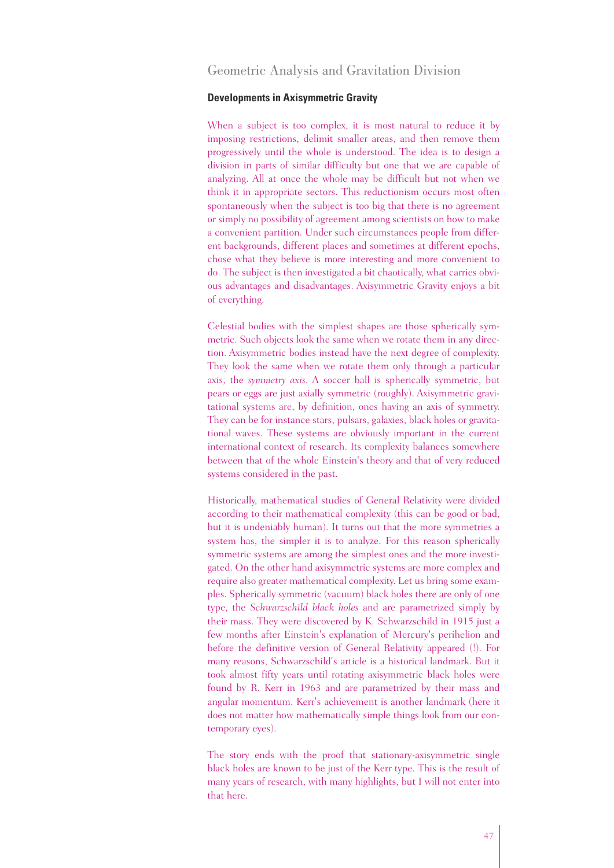# Geometric Analysis and Gravitation Division

## **Developments in Axisymmetric Gravity**

When a subject is too complex, it is most natural to reduce it by imposing restrictions, delimit smaller areas, and then remove them progressively until the whole is understood. The idea is to design a division in parts of similar difficulty but one that we are capable of analyzing. All at once the whole may be difficult but not when we think it in appropriate sectors. This reductionism occurs most often spontaneously when the subject is too big that there is no agreement or simply no possibility of agreement among scientists on how to make a convenient partition. Under such circumstances people from different backgrounds, different places and sometimes at different epochs, chose what they believe is more interesting and more convenient to do. The subject is then investigated a bit chaotically, what carries obvious advantages and disadvantages. Axisymmetric Gravity enjoys a bit of everything.

Celestial bodies with the simplest shapes are those spherically symmetric. Such objects look the same when we rotate them in any direction. Axisymmetric bodies instead have the next degree of complexity. They look the same when we rotate them only through a particular axis, the *symmetry axis*. A soccer ball is spherically symmetric, but pears or eggs are just axially symmetric (roughly). Axisymmetric gravitational systems are, by definition, ones having an axis of symmetry. They can be for instance stars, pulsars, galaxies, black holes or gravitational waves. These systems are obviously important in the current international context of research. Its complexity balances somewhere between that of the whole Einstein's theory and that of very reduced systems considered in the past.

Historically, mathematical studies of General Relativity were divided according to their mathematical complexity (this can be good or bad, but it is undeniably human). It turns out that the more symmetries a system has, the simpler it is to analyze. For this reason spherically symmetric systems are among the simplest ones and the more investigated. On the other hand axisymmetric systems are more complex and require also greater mathematical complexity. Let us bring some examples. Spherically symmetric (vacuum) black holes there are only of one type, the *Schwarzschild black holes* and are parametrized simply by their mass. They were discovered by K. Schwarzschild in 1915 just a few months after Einstein's explanation of Mercury's perihelion and before the definitive version of General Relativity appeared (!). For many reasons, Schwarzschild's article is a historical landmark. But it took almost fifty years until rotating axisymmetric black holes were found by R. Kerr in 1963 and are parametrized by their mass and angular momentum. Kerr's achievement is another landmark (here it does not matter how mathematically simple things look from our contemporary eyes).

The story ends with the proof that stationary-axisymmetric single black holes are known to be just of the Kerr type. This is the result of many years of research, with many highlights, but I will not enter into that here.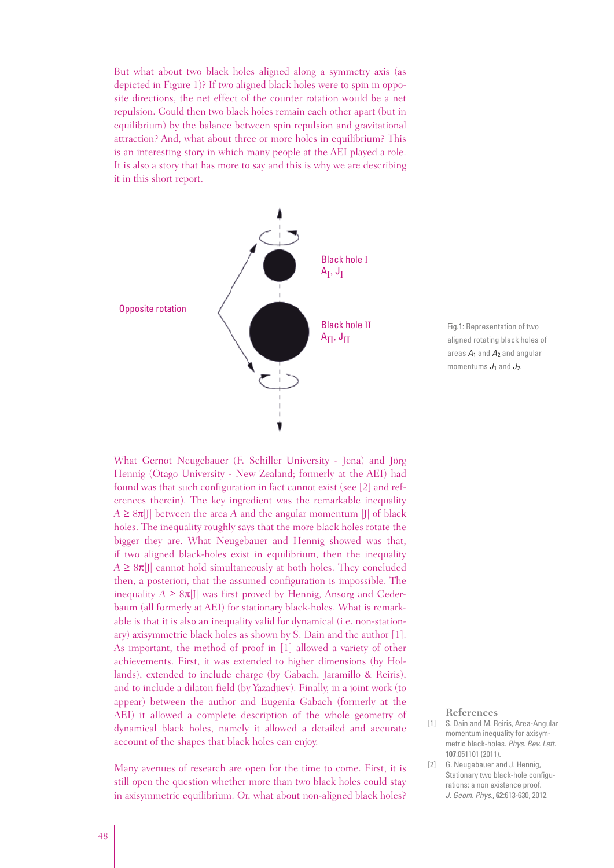But what about two black holes aligned along a symmetry axis (as depicted in Figure 1)? If two aligned black holes were to spin in opposite directions, the net effect of the counter rotation would be a net repulsion. Could then two black holes remain each other apart (but in equilibrium) by the balance between spin repulsion and gravitational attraction? And, what about three or more holes in equilibrium? This is an interesting story in which many people at the AEI played a role. It is also a story that has more to say and this is why we are describing it in this short report.



Fig.1: Representation of two aligned rotating black holes of areas  $A_1$  and  $A_2$  and angular momentums  $J_1$  and  $J_2$ .

What Gernot Neugebauer (F. Schiller University - Jena) and Jörg Hennig (Otago University - New Zealand; formerly at the AEI) had found was that such configuration in fact cannot exist (see [2] and references therein). The key ingredient was the remarkable inequality  $A \geq 8\pi$ |J| between the area *A* and the angular momentum |J| of black holes. The inequality roughly says that the more black holes rotate the bigger they are. What Neugebauer and Hennig showed was that, if two aligned black-holes exist in equilibrium, then the inequality  $A \geq 8\pi$ ]] cannot hold simultaneously at both holes. They concluded then, a posteriori, that the assumed configuration is impossible. The inequality  $A \geq 8\pi$ |J| was first proved by Hennig, Ansorg and Cederbaum (all formerly at AEI) for stationary black-holes. What is remarkable is that it is also an inequality valid for dynamical (i.e. non-stationary) axisymmetric black holes as shown by S. Dain and the author [1]. As important, the method of proof in [1] allowed a variety of other achievements. First, it was extended to higher dimensions (by Hollands), extended to include charge (by Gabach, Jaramillo & Reiris), and to include a dilaton field (by Yazadjiev). Finally, in a joint work (to appear) between the author and Eugenia Gabach (formerly at the AEI) it allowed a complete description of the whole geometry of dynamical black holes, namely it allowed a detailed and accurate account of the shapes that black holes can enjoy.

Many avenues of research are open for the time to come. First, it is still open the question whether more than two black holes could stay in axisymmetric equilibrium. Or, what about non-aligned black holes?

#### **References**

- [1] S. Dain and M. Reiris, Area-Angular momentum inequality for axisymmetric black-holes. Phys. Rev. Lett. **107**:051101 (2011).
- [2] G. Neugebauer and J. Hennig, Stationary two black-hole configurations: a non existence proof. J. Geom. Phys., **62**:613-630, 2012.